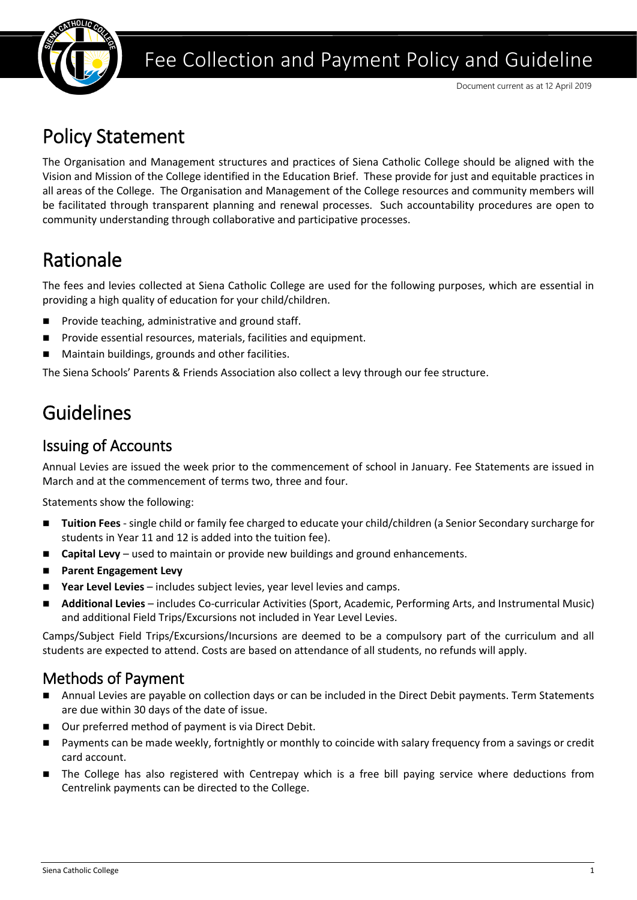

# Fee Collection and Payment Policy and Guideline

# Policy Statement

The Organisation and Management structures and practices of Siena Catholic College should be aligned with the Vision and Mission of the College identified in the Education Brief. These provide for just and equitable practices in all areas of the College. The Organisation and Management of the College resources and community members will be facilitated through transparent planning and renewal processes. Such accountability procedures are open to community understanding through collaborative and participative processes.

# Rationale

The fees and levies collected at Siena Catholic College are used for the following purposes, which are essential in providing a high quality of education for your child/children.

- Provide teaching, administrative and ground staff.
- Provide essential resources, materials, facilities and equipment.
- Maintain buildings, grounds and other facilities.

The Siena Schools' Parents & Friends Association also collect a levy through our fee structure.

# Guidelines

### Issuing of Accounts

Annual Levies are issued the week prior to the commencement of school in January. Fee Statements are issued in March and at the commencement of terms two, three and four.

Statements show the following:

- Tuition Fees single child or family fee charged to educate your child/children (a Senior Secondary surcharge for students in Year 11 and 12 is added into the tuition fee).
- **Capital Levy** used to maintain or provide new buildings and ground enhancements.
- ◼ **Parent Engagement Levy**
- **Year Level Levies** includes subject levies, year level levies and camps.
- **Additional Levies** includes Co-curricular Activities (Sport, Academic, Performing Arts, and Instrumental Music) and additional Field Trips/Excursions not included in Year Level Levies.

Camps/Subject Field Trips/Excursions/Incursions are deemed to be a compulsory part of the curriculum and all students are expected to attend. Costs are based on attendance of all students, no refunds will apply.

### Methods of Payment

- Annual Levies are payable on collection days or can be included in the Direct Debit payments. Term Statements are due within 30 days of the date of issue.
- Our preferred method of payment is via Direct Debit.
- Payments can be made weekly, fortnightly or monthly to coincide with salary frequency from a savings or credit card account.
- The College has also registered with Centrepay which is a free bill paying service where deductions from Centrelink payments can be directed to the College.